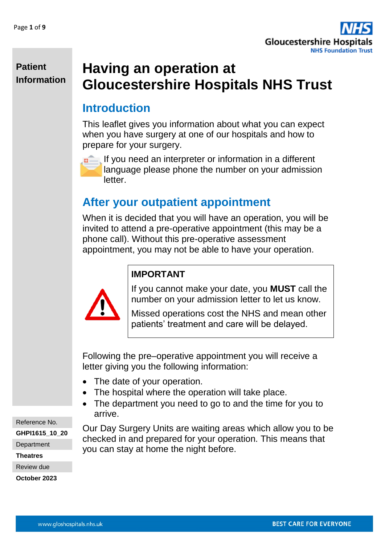

# **Having an operation at Gloucestershire Hospitals NHS Trust**

# **Introduction**

This leaflet gives you information about what you can expect when you have surgery at one of our hospitals and how to prepare for your surgery.



If you need an interpreter or information in a different language please phone the number on your admission letter.

# **After your outpatient appointment**

When it is decided that you will have an operation, you will be invited to attend a pre-operative appointment (this may be a phone call). Without this pre-operative assessment appointment, you may not be able to have your operation.



#### **IMPORTANT**

If you cannot make your date, you **MUST** call the number on your admission letter to let us know.

Missed operations cost the NHS and mean other patients' treatment and care will be delayed.

Following the pre–operative appointment you will receive a letter giving you the following information:

- The date of your operation.
- The hospital where the operation will take place.
- The department you need to go to and the time for you to arrive.

Reference No.

**GHPI1615\_10\_20**

**Department** 

**Theatres**

Review due

**October 2023**

Our Day Surgery Units are waiting areas which allow you to be checked in and prepared for your operation. This means that you can stay at home the night before.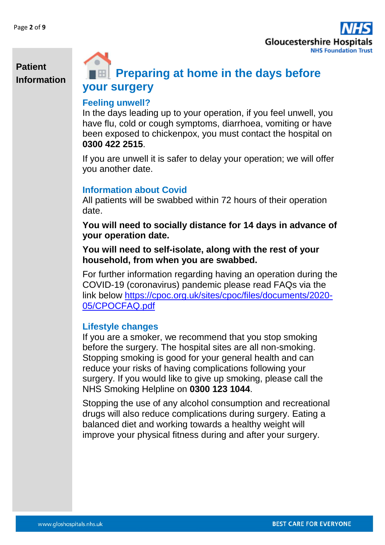

# **Preparing at home in the days before your surgery**

#### **Feeling unwell?**

In the days leading up to your operation, if you feel unwell, you have flu, cold or cough symptoms, diarrhoea, vomiting or have been exposed to chickenpox, you must contact the hospital on **0300 422 2515**.

If you are unwell it is safer to delay your operation; we will offer you another date.

#### **Information about Covid**

All patients will be swabbed within 72 hours of their operation date.

**You will need to socially distance for 14 days in advance of your operation date.** 

**You will need to self-isolate, along with the rest of your household, from when you are swabbed.** 

For further information regarding having an operation during the COVID-19 (coronavirus) pandemic please read FAQs via the link below [https://cpoc.org.uk/sites/cpoc/files/documents/2020-](https://cpoc.org.uk/sites/cpoc/files/documents/2020-05/CPOCFAQ.pdf) [05/CPOCFAQ.pdf](https://cpoc.org.uk/sites/cpoc/files/documents/2020-05/CPOCFAQ.pdf)

#### **Lifestyle changes**

If you are a smoker, we recommend that you stop smoking before the surgery. The hospital sites are all non-smoking. Stopping smoking is good for your general health and can reduce your risks of having complications following your surgery. If you would like to give up smoking, please call the NHS Smoking Helpline on **0300 123 1044**.

Stopping the use of any alcohol consumption and recreational drugs will also reduce complications during surgery. Eating a balanced diet and working towards a healthy weight will improve your physical fitness during and after your surgery.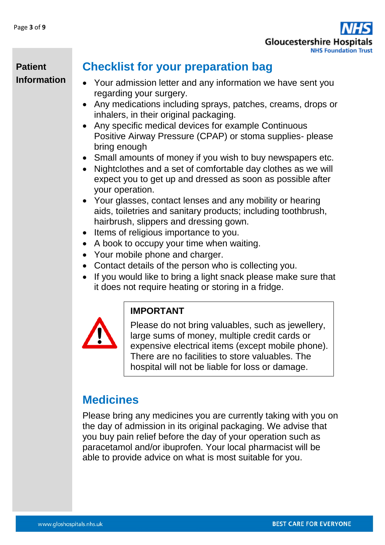

# **Checklist for your preparation bag**

- Your admission letter and any information we have sent you regarding your surgery.
- Any medications including sprays, patches, creams, drops or inhalers, in their original packaging.
- Any specific medical devices for example Continuous Positive Airway Pressure (CPAP) or stoma supplies- please bring enough
- Small amounts of money if you wish to buy newspapers etc.
- Nightclothes and a set of comfortable day clothes as we will expect you to get up and dressed as soon as possible after your operation.
- Your glasses, contact lenses and any mobility or hearing aids, toiletries and sanitary products; including toothbrush, hairbrush, slippers and dressing gown.
- Items of religious importance to you.
- A book to occupy your time when waiting.
- Your mobile phone and charger.
- Contact details of the person who is collecting you.
- If you would like to bring a light snack please make sure that it does not require heating or storing in a fridge.



#### **IMPORTANT**

Please do not bring valuables, such as jewellery, large sums of money, multiple credit cards or expensive electrical items (except mobile phone). There are no facilities to store valuables. The hospital will not be liable for loss or damage.

# **Medicines**

Please bring any medicines you are currently taking with you on the day of admission in its original packaging. We advise that you buy pain relief before the day of your operation such as paracetamol and/or ibuprofen. Your local pharmacist will be able to provide advice on what is most suitable for you.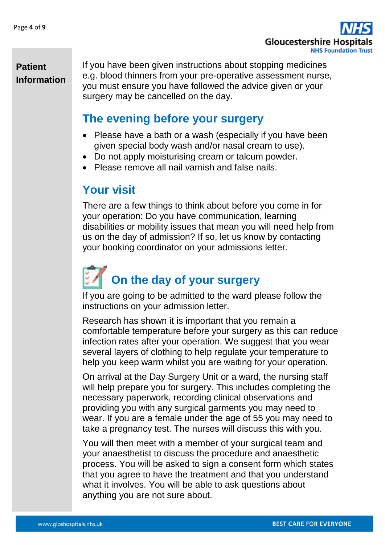

If you have been given instructions about stopping medicines e.g. blood thinners from your pre-operative assessment nurse, you must ensure you have followed the advice given or your surgery may be cancelled on the day.

# **The evening before your surgery**

- Please have a bath or a wash (especially if you have been given special body wash and/or nasal cream to use).
- Do not apply moisturising cream or talcum powder.
- Please remove all nail varnish and false nails.

# **Your visit**

There are a few things to think about before you come in for your operation: Do you have communication, learning disabilities or mobility issues that mean you will need help from us on the day of admission? If so, let us know by contacting your booking coordinator on your admissions letter.

# **On the day of your surgery**

If you are going to be admitted to the ward please follow the instructions on your admission letter.

Research has shown it is important that you remain a comfortable temperature before your surgery as this can reduce infection rates after your operation. We suggest that you wear several layers of clothing to help regulate your temperature to help you keep warm whilst you are waiting for your operation.

On arrival at the Day Surgery Unit or a ward, the nursing staff will help prepare you for surgery. This includes completing the necessary paperwork, recording clinical observations and providing you with any surgical garments you may need to wear. If you are a female under the age of 55 you may need to take a pregnancy test. The nurses will discuss this with you.

You will then meet with a member of your surgical team and your anaesthetist to discuss the procedure and anaesthetic process. You will be asked to sign a consent form which states that you agree to have the treatment and that you understand what it involves. You will be able to ask questions about anything you are not sure about.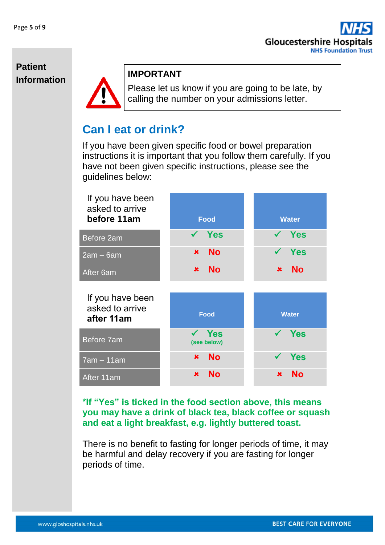

#### **Patient Information IMPORTANT**



Please let us know if you are going to be late, by calling the number on your admissions letter.

# **Can I eat or drink?**

If you have been given specific food or bowel preparation instructions it is important that you follow them carefully. If you have not been given specific instructions, please see the guidelines below:

| If you have been<br>asked to arrive<br>before 11am | <b>Food</b>                 | <b>Water</b>                |
|----------------------------------------------------|-----------------------------|-----------------------------|
| Before 2am                                         | <b>Yes</b>                  | Yes                         |
| $2am - 6am$                                        | <b>No</b><br>$\pmb{\times}$ | Yes                         |
| After 6am                                          | <b>No</b><br>$\pmb{\times}$ | <b>No</b><br>$\pmb{\times}$ |
| If you have been<br>asked to arrive<br>after 11am  | <b>Food</b>                 | <b>Water</b>                |
| Before 7am                                         | Yes<br>(see below)          | <b>Yes</b>                  |
| $7am - 11am$                                       | <b>No</b><br>$\pmb{\times}$ | <b>Yes</b><br>$\checkmark$  |
| After 11am                                         | <b>No</b><br>$\mathbf x$    | <b>No</b><br>$\mathbf x$    |

#### **\*If "Yes" is ticked in the food section above, this means you may have a drink of black tea, black coffee or squash and eat a light breakfast, e.g. lightly buttered toast.**

There is no benefit to fasting for longer periods of time, it may be harmful and delay recovery if you are fasting for longer periods of time.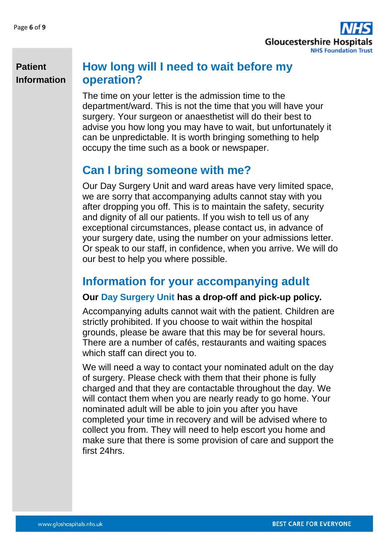

# **How long will I need to wait before my operation?**

The time on your letter is the admission time to the department/ward. This is not the time that you will have your surgery. Your surgeon or anaesthetist will do their best to advise you how long you may have to wait, but unfortunately it can be unpredictable. It is worth bringing something to help occupy the time such as a book or newspaper.

# **Can I bring someone with me?**

Our Day Surgery Unit and ward areas have very limited space, we are sorry that accompanying adults cannot stay with you after dropping you off. This is to maintain the safety, security and dignity of all our patients. If you wish to tell us of any exceptional circumstances, please contact us, in advance of your surgery date, using the number on your admissions letter. Or speak to our staff, in confidence, when you arrive. We will do our best to help you where possible.

# **Information for your accompanying adult**

#### **Our Day Surgery Unit has a drop-off and pick-up policy.**

Accompanying adults cannot wait with the patient. Children are strictly prohibited. If you choose to wait within the hospital grounds, please be aware that this may be for several hours. There are a number of cafés, restaurants and waiting spaces which staff can direct you to.

We will need a way to contact your nominated adult on the day of surgery. Please check with them that their phone is fully charged and that they are contactable throughout the day. We will contact them when you are nearly ready to go home. Your nominated adult will be able to join you after you have completed your time in recovery and will be advised where to collect you from. They will need to help escort you home and make sure that there is some provision of care and support the first 24hrs.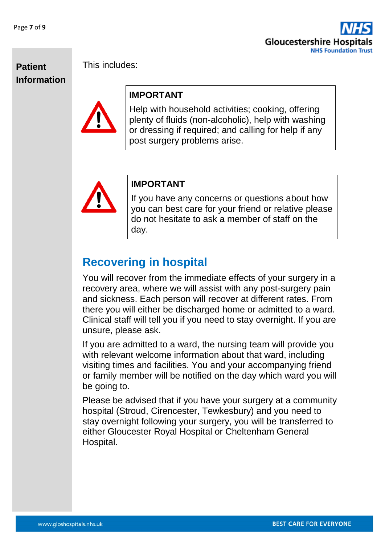



This includes:

#### **IMPORTANT**

Help with household activities; cooking, offering plenty of fluids (non-alcoholic), help with washing or dressing if required; and calling for help if any post surgery problems arise.



#### **IMPORTANT**

If you have any concerns or questions about how you can best care for your friend or relative please do not hesitate to ask a member of staff on the day.

# **Recovering in hospital**

You will recover from the immediate effects of your surgery in a recovery area, where we will assist with any post-surgery pain and sickness. Each person will recover at different rates. From there you will either be discharged home or admitted to a ward. Clinical staff will tell you if you need to stay overnight. If you are unsure, please ask.

If you are admitted to a ward, the nursing team will provide you with relevant welcome information about that ward, including visiting times and facilities. You and your accompanying friend or family member will be notified on the day which ward you will be going to.

Please be advised that if you have your surgery at a community hospital (Stroud, Cirencester, Tewkesbury) and you need to stay overnight following your surgery, you will be transferred to either Gloucester Royal Hospital or Cheltenham General Hospital.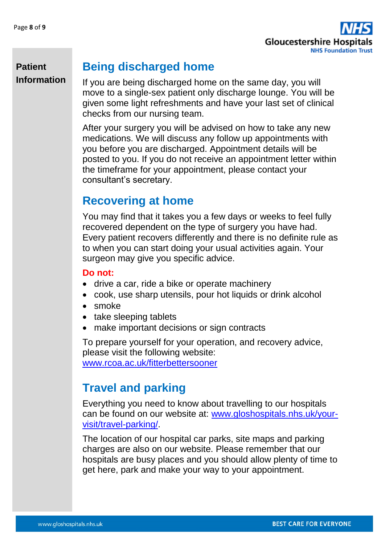

# **Being discharged home**

If you are being discharged home on the same day, you will move to a single-sex patient only discharge lounge. You will be given some light refreshments and have your last set of clinical checks from our nursing team.

After your surgery you will be advised on how to take any new medications. We will discuss any follow up appointments with you before you are discharged. Appointment details will be posted to you. If you do not receive an appointment letter within the timeframe for your appointment, please contact your consultant's secretary.

# **Recovering at home**

You may find that it takes you a few days or weeks to feel fully recovered dependent on the type of surgery you have had. Every patient recovers differently and there is no definite rule as to when you can start doing your usual activities again. Your surgeon may give you specific advice.

#### **Do not:**

- drive a car, ride a bike or operate machinery
- cook, use sharp utensils, pour hot liquids or drink alcohol
- smoke
- take sleeping tablets
- make important decisions or sign contracts

To prepare yourself for your operation, and recovery advice, please visit the following website: [www.rcoa.ac.uk/fitterbettersooner](http://www.rcoa.ac.uk/fitterbettersooner)

# **Travel and parking**

Everything you need to know about travelling to our hospitals can be found on our website at: [www.gloshospitals.nhs.uk/your](http://www.gloshospitals.nhs.uk/your-visit/travel-parking/)[visit/travel-parking/.](http://www.gloshospitals.nhs.uk/your-visit/travel-parking/)

The location of our hospital car parks, site maps and parking charges are also on our website. Please remember that our hospitals are busy places and you should allow plenty of time to get here, park and make your way to your appointment.